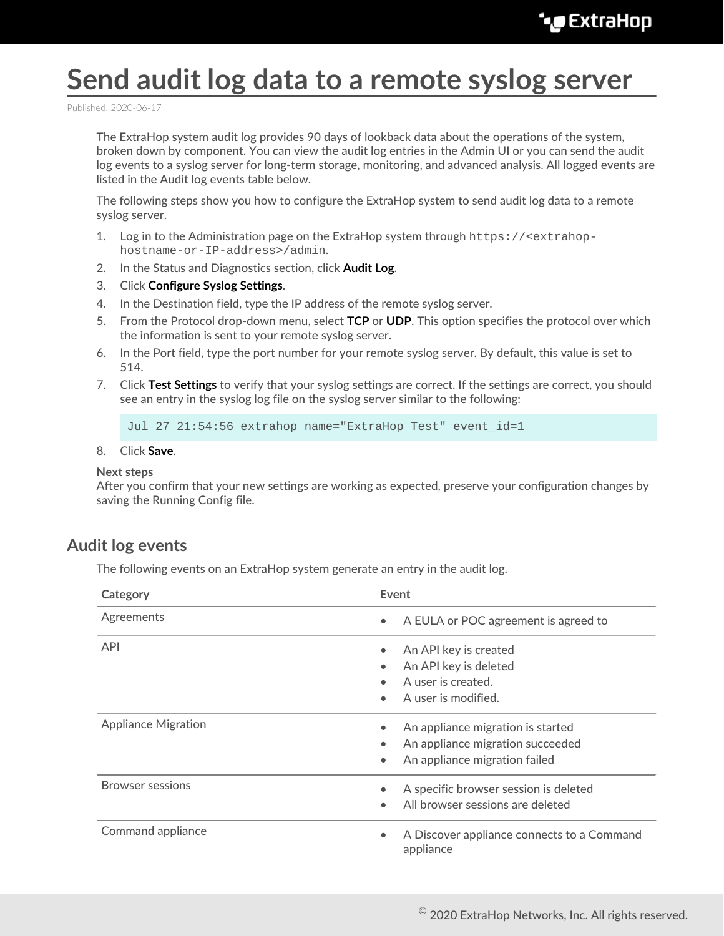# **Send audit log data to a remote syslog server**

Published: 2020-06-17

The ExtraHop system audit log provides 90 days of lookback data about the operations of the system, broken down by component. You can view the audit log entries in the Admin UI or you can send the audit log events to a syslog server for long-term storage, monitoring, and advanced analysis. All logged events are listed in the Audit log events table below.

The following steps show you how to configure the ExtraHop system to send audit log data to a remote syslog server.

- 1. Log in to the Administration page on the ExtraHop system through  $https://$ hostname-or-IP-address>/admin.
- 2. In the Status and Diagnostics section, click **Audit Log**.
- 3. Click **Configure Syslog Settings**.
- 4. In the Destination field, type the IP address of the remote syslog server.
- 5. From the Protocol drop-down menu, select **TCP** or **UDP**. This option specifies the protocol over which the information is sent to your remote syslog server.
- 6. In the Port field, type the port number for your remote syslog server. By default, this value is set to 514.
- 7. Click **Test Settings** to verify that your syslog settings are correct. If the settings are correct, you should see an entry in the syslog log file on the syslog server similar to the following:

Jul 27 21:54:56 extrahop name="ExtraHop Test" event\_id=1

#### 8. Click **Save**.

#### **Next steps**

After you confirm that your new settings are working as expected, preserve your configuration changes by saving the Running Config file.

### **Audit log events**

The following events on an ExtraHop system generate an entry in the audit log.

| Category                   | Event                                                                                                               |
|----------------------------|---------------------------------------------------------------------------------------------------------------------|
| Agreements                 | A EULA or POC agreement is agreed to<br>$\bullet$                                                                   |
| <b>API</b>                 | An API key is created<br>An API key is deleted<br>A user is created.<br>A user is modified.<br>$\bullet$            |
| <b>Appliance Migration</b> | An appliance migration is started<br>An appliance migration succeeded<br>An appliance migration failed<br>$\bullet$ |
| <b>Browser sessions</b>    | A specific browser session is deleted<br>All browser sessions are deleted<br>$\bullet$                              |
| Command appliance          | A Discover appliance connects to a Command<br>$\bullet$<br>appliance                                                |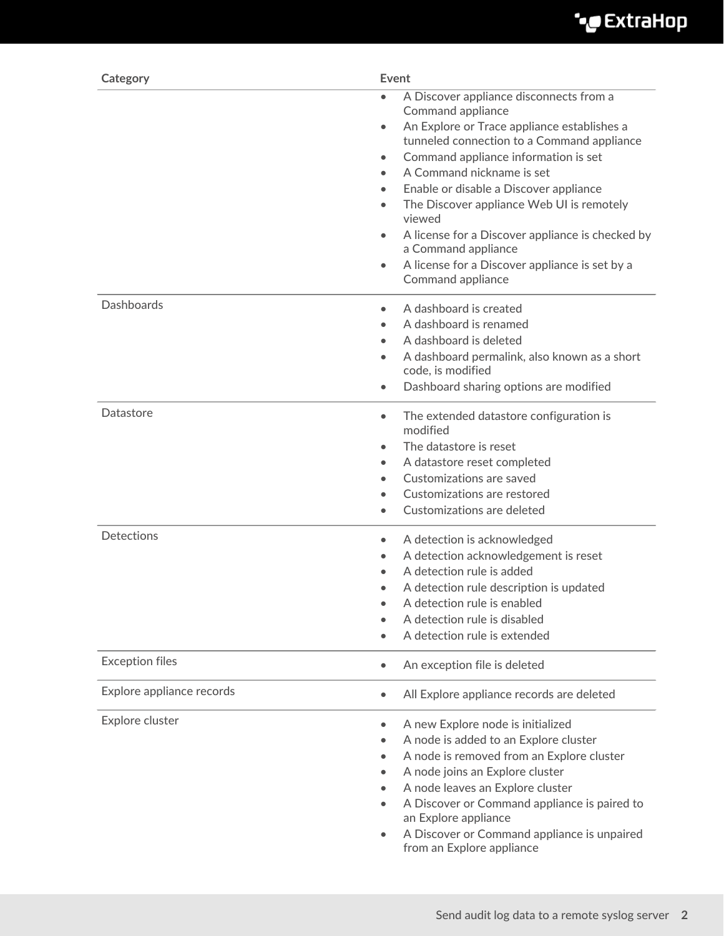

| Category                  | Event                                                                                                                                                                                                                                                                                                                                                                                                                                                                                                                                 |
|---------------------------|---------------------------------------------------------------------------------------------------------------------------------------------------------------------------------------------------------------------------------------------------------------------------------------------------------------------------------------------------------------------------------------------------------------------------------------------------------------------------------------------------------------------------------------|
|                           | A Discover appliance disconnects from a<br>$\bullet$<br>Command appliance<br>An Explore or Trace appliance establishes a<br>$\bullet$<br>tunneled connection to a Command appliance<br>Command appliance information is set<br>$\bullet$<br>A Command nickname is set<br>Enable or disable a Discover appliance<br>The Discover appliance Web UI is remotely<br>$\bullet$<br>viewed<br>A license for a Discover appliance is checked by<br>a Command appliance<br>A license for a Discover appliance is set by a<br>Command appliance |
| <b>Dashboards</b>         | A dashboard is created<br>$\bullet$<br>A dashboard is renamed<br>$\bullet$<br>A dashboard is deleted<br>A dashboard permalink, also known as a short<br>code, is modified<br>Dashboard sharing options are modified                                                                                                                                                                                                                                                                                                                   |
| Datastore                 | The extended datastore configuration is<br>$\bullet$<br>modified<br>The datastore is reset<br>A datastore reset completed<br>$\bullet$<br>Customizations are saved<br>Customizations are restored<br>Customizations are deleted                                                                                                                                                                                                                                                                                                       |
| <b>Detections</b>         | A detection is acknowledged<br>$\bullet$<br>A detection acknowledgement is reset<br>A detection rule is added<br>A detection rule description is updated<br>$\bullet$<br>A detection rule is enabled<br>A detection rule is disabled<br>A detection rule is extended                                                                                                                                                                                                                                                                  |
| <b>Exception files</b>    | An exception file is deleted<br>$\bullet$                                                                                                                                                                                                                                                                                                                                                                                                                                                                                             |
| Explore appliance records | All Explore appliance records are deleted<br>$\bullet$                                                                                                                                                                                                                                                                                                                                                                                                                                                                                |
| Explore cluster           | A new Explore node is initialized<br>A node is added to an Explore cluster<br>A node is removed from an Explore cluster<br>A node joins an Explore cluster<br>A node leaves an Explore cluster<br>A Discover or Command appliance is paired to<br>an Explore appliance<br>A Discover or Command appliance is unpaired<br>from an Explore appliance                                                                                                                                                                                    |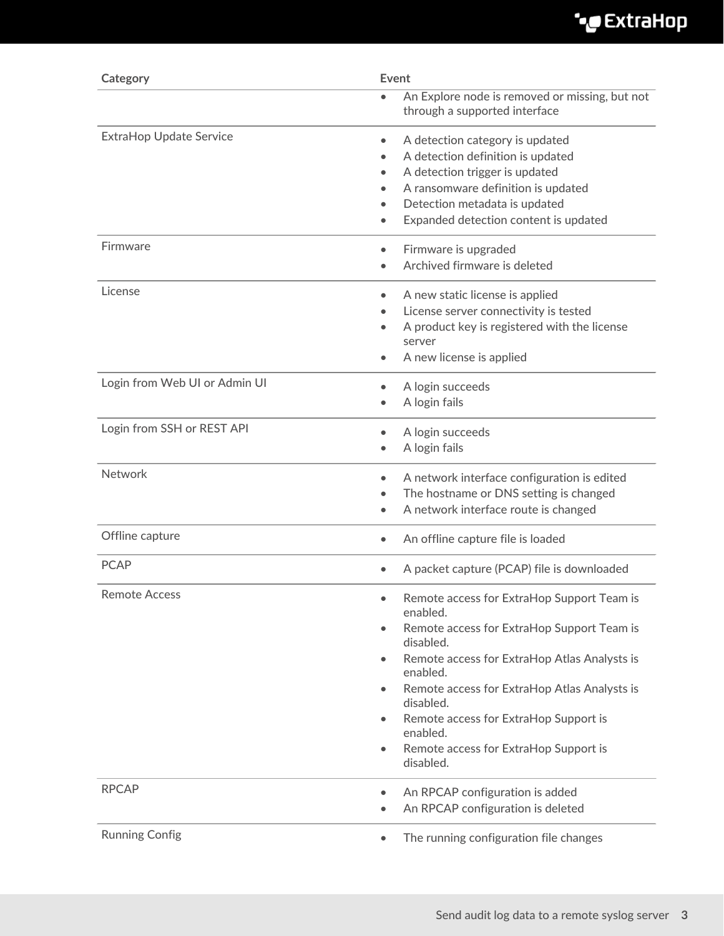| Category                       | Event                                                                                                                                                                                                                                                                                                                                                                                                     |
|--------------------------------|-----------------------------------------------------------------------------------------------------------------------------------------------------------------------------------------------------------------------------------------------------------------------------------------------------------------------------------------------------------------------------------------------------------|
|                                | An Explore node is removed or missing, but not<br>through a supported interface                                                                                                                                                                                                                                                                                                                           |
| <b>ExtraHop Update Service</b> | A detection category is updated<br>$\bullet$<br>A detection definition is updated<br>A detection trigger is updated<br>$\bullet$<br>A ransomware definition is updated<br>Detection metadata is updated<br>Expanded detection content is updated<br>$\bullet$                                                                                                                                             |
| Firmware                       | Firmware is upgraded<br>$\bullet$<br>Archived firmware is deleted                                                                                                                                                                                                                                                                                                                                         |
| License                        | A new static license is applied<br>$\bullet$<br>License server connectivity is tested<br>A product key is registered with the license<br>server<br>A new license is applied                                                                                                                                                                                                                               |
| Login from Web UI or Admin UI  | A login succeeds<br>$\bullet$<br>A login fails                                                                                                                                                                                                                                                                                                                                                            |
| Login from SSH or REST API     | A login succeeds<br>$\bullet$<br>A login fails                                                                                                                                                                                                                                                                                                                                                            |
| Network                        | A network interface configuration is edited<br>$\bullet$<br>The hostname or DNS setting is changed<br>A network interface route is changed<br>$\bullet$                                                                                                                                                                                                                                                   |
| Offline capture                | An offline capture file is loaded<br>$\bullet$                                                                                                                                                                                                                                                                                                                                                            |
| <b>PCAP</b>                    | A packet capture (PCAP) file is downloaded<br>$\bullet$                                                                                                                                                                                                                                                                                                                                                   |
| <b>Remote Access</b>           | Remote access for ExtraHop Support Team is<br>enabled.<br>Remote access for ExtraHop Support Team is<br>$\bullet$<br>disabled.<br>Remote access for ExtraHop Atlas Analysts is<br>$\bullet$<br>enabled.<br>Remote access for ExtraHop Atlas Analysts is<br>$\bullet$<br>disabled.<br>Remote access for ExtraHop Support is<br>enabled.<br>Remote access for ExtraHop Support is<br>$\bullet$<br>disabled. |
| <b>RPCAP</b>                   | An RPCAP configuration is added<br>$\bullet$<br>An RPCAP configuration is deleted                                                                                                                                                                                                                                                                                                                         |
| <b>Running Config</b>          | The running configuration file changes                                                                                                                                                                                                                                                                                                                                                                    |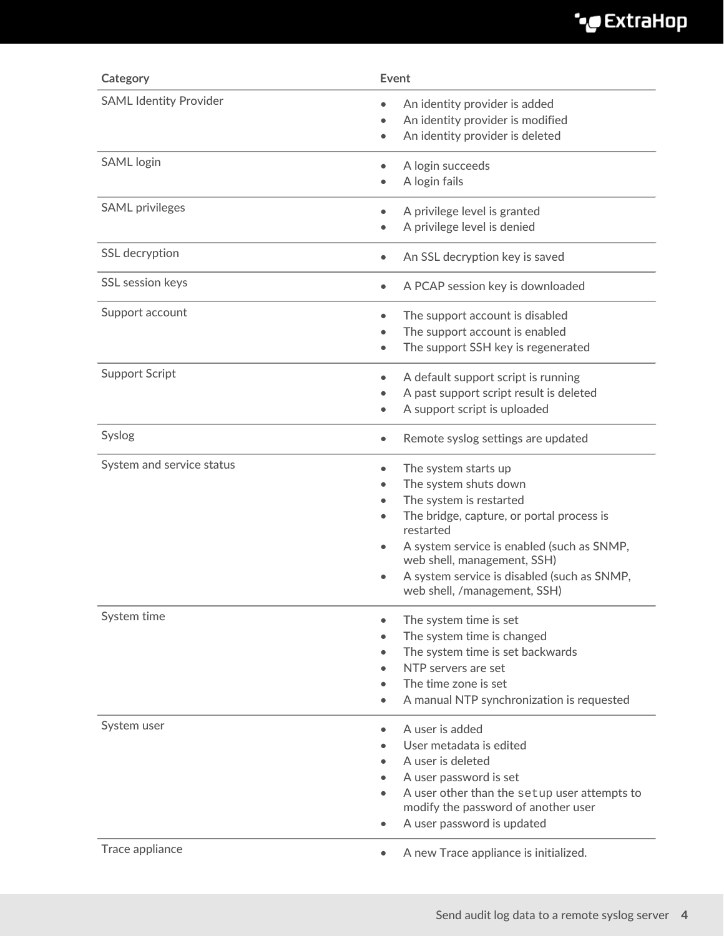| Category                                 | Event                                                                                                                                                                                                                                                                                                                                 |
|------------------------------------------|---------------------------------------------------------------------------------------------------------------------------------------------------------------------------------------------------------------------------------------------------------------------------------------------------------------------------------------|
| <b>SAML Identity Provider</b>            | An identity provider is added<br>$\bullet$<br>An identity provider is modified<br>$\bullet$<br>An identity provider is deleted<br>$\bullet$                                                                                                                                                                                           |
| <b>SAML</b> login                        | A login succeeds<br>$\bullet$<br>A login fails<br>$\bullet$                                                                                                                                                                                                                                                                           |
| <b>SAML</b> privileges                   | A privilege level is granted<br>$\bullet$<br>A privilege level is denied<br>$\bullet$                                                                                                                                                                                                                                                 |
| SSL decryption                           | An SSL decryption key is saved<br>$\bullet$                                                                                                                                                                                                                                                                                           |
| SSL session keys                         | A PCAP session key is downloaded<br>$\bullet$                                                                                                                                                                                                                                                                                         |
| Support account<br><b>Support Script</b> | The support account is disabled<br>$\bullet$<br>The support account is enabled<br>The support SSH key is regenerated<br>$\bullet$                                                                                                                                                                                                     |
|                                          | A default support script is running<br>$\bullet$<br>A past support script result is deleted<br>$\bullet$<br>A support script is uploaded<br>$\bullet$                                                                                                                                                                                 |
| Syslog                                   | Remote syslog settings are updated<br>$\bullet$                                                                                                                                                                                                                                                                                       |
| System and service status                | The system starts up<br>$\bullet$<br>The system shuts down<br>$\bullet$<br>The system is restarted<br>The bridge, capture, or portal process is<br>restarted<br>A system service is enabled (such as SNMP,<br>$\bullet$<br>web shell, management, SSH)<br>A system service is disabled (such as SNMP,<br>web shell, /management, SSH) |
| System time                              | The system time is set<br>$\bullet$<br>The system time is changed<br>The system time is set backwards<br>$\bullet$<br>NTP servers are set<br>$\bullet$<br>The time zone is set<br>A manual NTP synchronization is requested<br>$\bullet$                                                                                              |
| System user<br>Trace appliance           | A user is added<br>$\bullet$<br>User metadata is edited<br>A user is deleted<br>A user password is set<br>A user other than the setup user attempts to<br>modify the password of another user<br>A user password is updated<br>$\bullet$                                                                                              |
|                                          | A new Trace appliance is initialized.<br>$\bullet$                                                                                                                                                                                                                                                                                    |